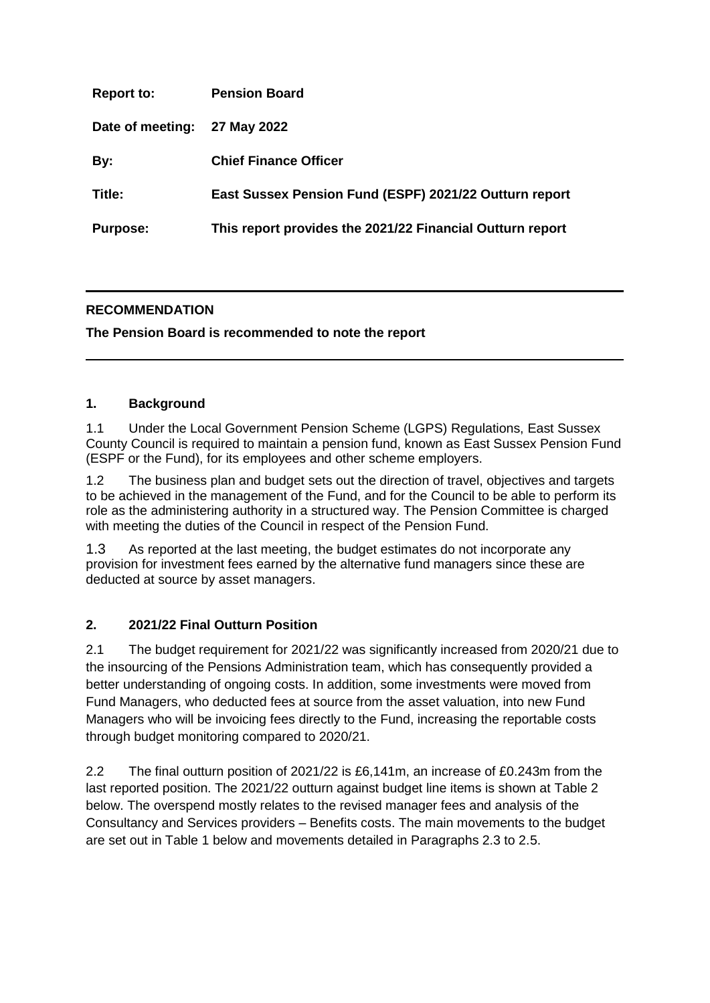| <b>Report to:</b> | <b>Pension Board</b>                                      |
|-------------------|-----------------------------------------------------------|
| Date of meeting:  | 27 May 2022                                               |
| By:               | <b>Chief Finance Officer</b>                              |
| Title:            | East Sussex Pension Fund (ESPF) 2021/22 Outturn report    |
| <b>Purpose:</b>   | This report provides the 2021/22 Financial Outturn report |

# **RECOMMENDATION**

**The Pension Board is recommended to note the report** 

# **1. Background**

1.1 Under the Local Government Pension Scheme (LGPS) Regulations, East Sussex County Council is required to maintain a pension fund, known as East Sussex Pension Fund (ESPF or the Fund), for its employees and other scheme employers.

1.2 The business plan and budget sets out the direction of travel, objectives and targets to be achieved in the management of the Fund, and for the Council to be able to perform its role as the administering authority in a structured way. The Pension Committee is charged with meeting the duties of the Council in respect of the Pension Fund.

1.3 As reported at the last meeting, the budget estimates do not incorporate any provision for investment fees earned by the alternative fund managers since these are deducted at source by asset managers.

# **2. 2021/22 Final Outturn Position**

2.1 The budget requirement for 2021/22 was significantly increased from 2020/21 due to the insourcing of the Pensions Administration team, which has consequently provided a better understanding of ongoing costs. In addition, some investments were moved from Fund Managers, who deducted fees at source from the asset valuation, into new Fund Managers who will be invoicing fees directly to the Fund, increasing the reportable costs through budget monitoring compared to 2020/21.

2.2 The final outturn position of 2021/22 is £6,141m, an increase of £0.243m from the last reported position. The 2021/22 outturn against budget line items is shown at Table 2 below. The overspend mostly relates to the revised manager fees and analysis of the Consultancy and Services providers – Benefits costs. The main movements to the budget are set out in Table 1 below and movements detailed in Paragraphs 2.3 to 2.5.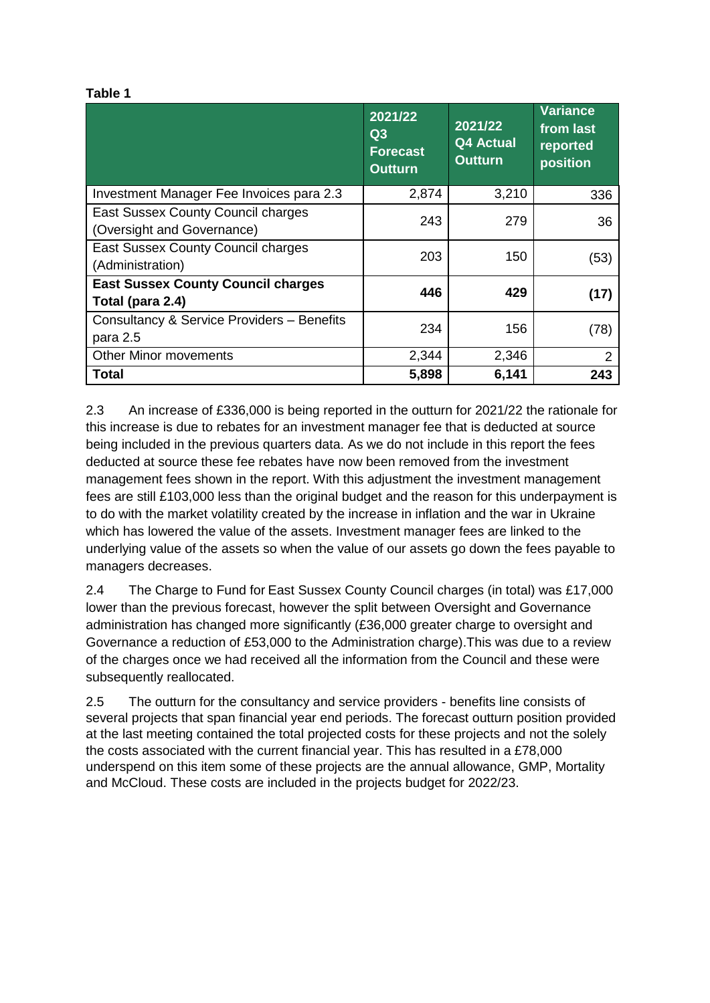#### **Table 1**

|                                                                         | 2021/22<br>Q3<br><b>Forecast</b><br><b>Outturn</b> | 2021/22<br><b>Q4 Actual</b><br><b>Outturn</b> | <b>Variance</b><br>from last<br>reported<br>position |
|-------------------------------------------------------------------------|----------------------------------------------------|-----------------------------------------------|------------------------------------------------------|
| Investment Manager Fee Invoices para 2.3                                | 2,874                                              | 3,210                                         | 336                                                  |
| <b>East Sussex County Council charges</b><br>(Oversight and Governance) | 243                                                | 279                                           | 36                                                   |
| East Sussex County Council charges<br>(Administration)                  | 203                                                | 150                                           | (53)                                                 |
| <b>East Sussex County Council charges</b><br>Total (para 2.4)           | 446                                                | 429                                           | (17)                                                 |
| Consultancy & Service Providers - Benefits<br>para 2.5                  | 234                                                | 156                                           | (78)                                                 |
| <b>Other Minor movements</b>                                            | 2,344                                              | 2,346                                         | $\overline{2}$                                       |
| Total                                                                   | 5,898                                              | 6,141                                         | 243                                                  |

2.3 An increase of £336,000 is being reported in the outturn for 2021/22 the rationale for this increase is due to rebates for an investment manager fee that is deducted at source being included in the previous quarters data. As we do not include in this report the fees deducted at source these fee rebates have now been removed from the investment management fees shown in the report. With this adjustment the investment management fees are still £103,000 less than the original budget and the reason for this underpayment is to do with the market volatility created by the increase in inflation and the war in Ukraine which has lowered the value of the assets. Investment manager fees are linked to the underlying value of the assets so when the value of our assets go down the fees payable to managers decreases.

2.4 The Charge to Fund for East Sussex County Council charges (in total) was £17,000 lower than the previous forecast, however the split between Oversight and Governance administration has changed more significantly (£36,000 greater charge to oversight and Governance a reduction of £53,000 to the Administration charge).This was due to a review of the charges once we had received all the information from the Council and these were subsequently reallocated.

2.5 The outturn for the consultancy and service providers - benefits line consists of several projects that span financial year end periods. The forecast outturn position provided at the last meeting contained the total projected costs for these projects and not the solely the costs associated with the current financial year. This has resulted in a £78,000 underspend on this item some of these projects are the annual allowance, GMP, Mortality and McCloud. These costs are included in the projects budget for 2022/23.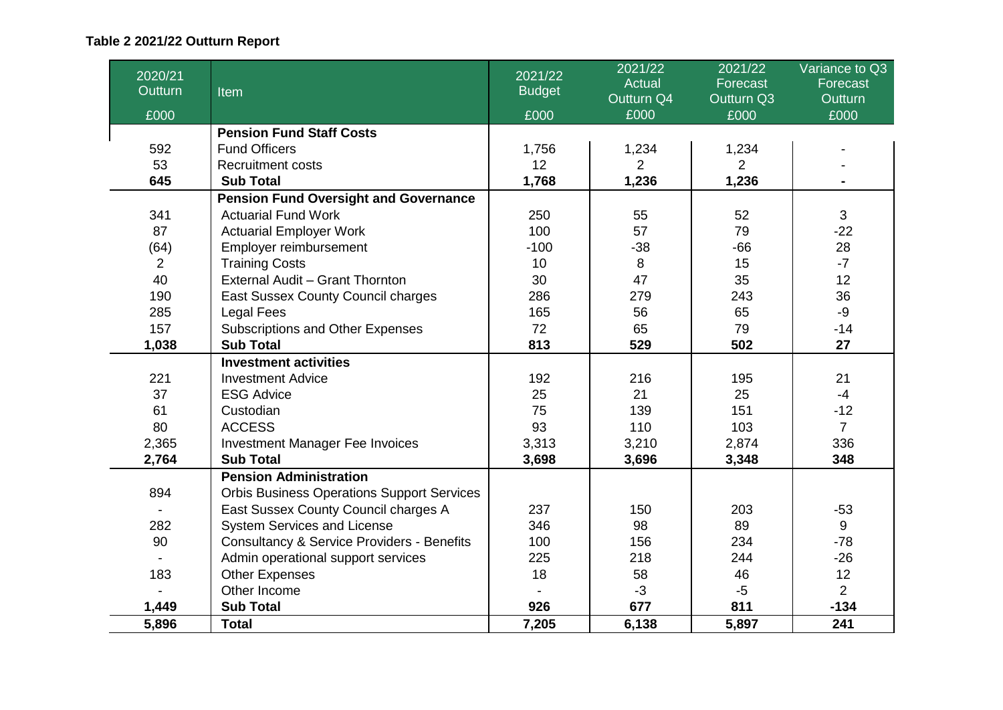# **Table 2 2021/22 Outturn Report**

| 2020/21<br>Outturn | Item                                                  | 2021/22<br><b>Budget</b> | 2021/22<br><b>Actual</b> | 2021/22<br>Forecast | Variance to Q3<br>Forecast |
|--------------------|-------------------------------------------------------|--------------------------|--------------------------|---------------------|----------------------------|
|                    |                                                       |                          | Outturn Q4               | Outturn Q3          | <b>Outturn</b>             |
| £000               |                                                       | £000                     | £000                     | £000                | £000                       |
|                    | <b>Pension Fund Staff Costs</b>                       |                          |                          |                     |                            |
| 592                | <b>Fund Officers</b>                                  | 1,756                    | 1,234                    | 1,234               |                            |
| 53                 | <b>Recruitment costs</b>                              | 12 <sub>2</sub>          | $\overline{2}$           | $\overline{2}$      |                            |
| 645                | <b>Sub Total</b>                                      | 1,768                    | 1,236                    | 1,236               |                            |
|                    | <b>Pension Fund Oversight and Governance</b>          |                          |                          |                     |                            |
| 341                | <b>Actuarial Fund Work</b>                            | 250                      | 55                       | 52                  | 3                          |
| 87                 | <b>Actuarial Employer Work</b>                        | 100                      | 57                       | 79                  | $-22$                      |
| (64)               | Employer reimbursement                                | $-100$                   | $-38$                    | $-66$               | 28                         |
| $\overline{2}$     | <b>Training Costs</b>                                 | 10                       | 8                        | 15                  | $-7$                       |
| 40                 | External Audit - Grant Thornton                       | 30                       | 47                       | 35                  | 12                         |
| 190                | East Sussex County Council charges                    | 286                      | 279                      | 243                 | 36                         |
| 285                | <b>Legal Fees</b>                                     | 165                      | 56                       | 65                  | $-9$                       |
| 157                | Subscriptions and Other Expenses                      | 72                       | 65                       | 79                  | $-14$                      |
| 1,038              | <b>Sub Total</b>                                      | 813                      | 529                      | 502                 | 27                         |
|                    | <b>Investment activities</b>                          |                          |                          |                     |                            |
| 221                | <b>Investment Advice</b>                              | 192                      | 216                      | 195                 | 21                         |
| 37                 | <b>ESG Advice</b>                                     | 25                       | 21                       | 25                  | $-4$                       |
| 61                 | Custodian                                             | 75                       | 139                      | 151                 | $-12$                      |
| 80                 | <b>ACCESS</b>                                         | 93                       | 110                      | 103                 | $\overline{7}$             |
| 2,365              | <b>Investment Manager Fee Invoices</b>                | 3,313                    | 3,210                    | 2,874               | 336                        |
| 2,764              | <b>Sub Total</b>                                      | 3,698                    | 3,696                    | 3,348               | 348                        |
|                    | <b>Pension Administration</b>                         |                          |                          |                     |                            |
| 894                | <b>Orbis Business Operations Support Services</b>     |                          |                          |                     |                            |
|                    | East Sussex County Council charges A                  | 237                      | 150                      | 203                 | $-53$                      |
| 282                | System Services and License                           | 346                      | 98                       | 89                  | 9                          |
| 90                 | <b>Consultancy &amp; Service Providers - Benefits</b> | 100                      | 156                      | 234                 | $-78$                      |
|                    | Admin operational support services                    | 225                      | 218                      | 244                 | $-26$                      |
| 183                | <b>Other Expenses</b>                                 | 18                       | 58                       | 46                  | 12                         |
|                    | Other Income                                          |                          | $-3$                     | $-5$                | $\overline{2}$             |
| 1,449              | <b>Sub Total</b>                                      | 926                      | 677                      | 811                 | $-134$                     |
| 5,896              | <b>Total</b>                                          | 7,205                    | 6.138                    | 5,897               | 241                        |